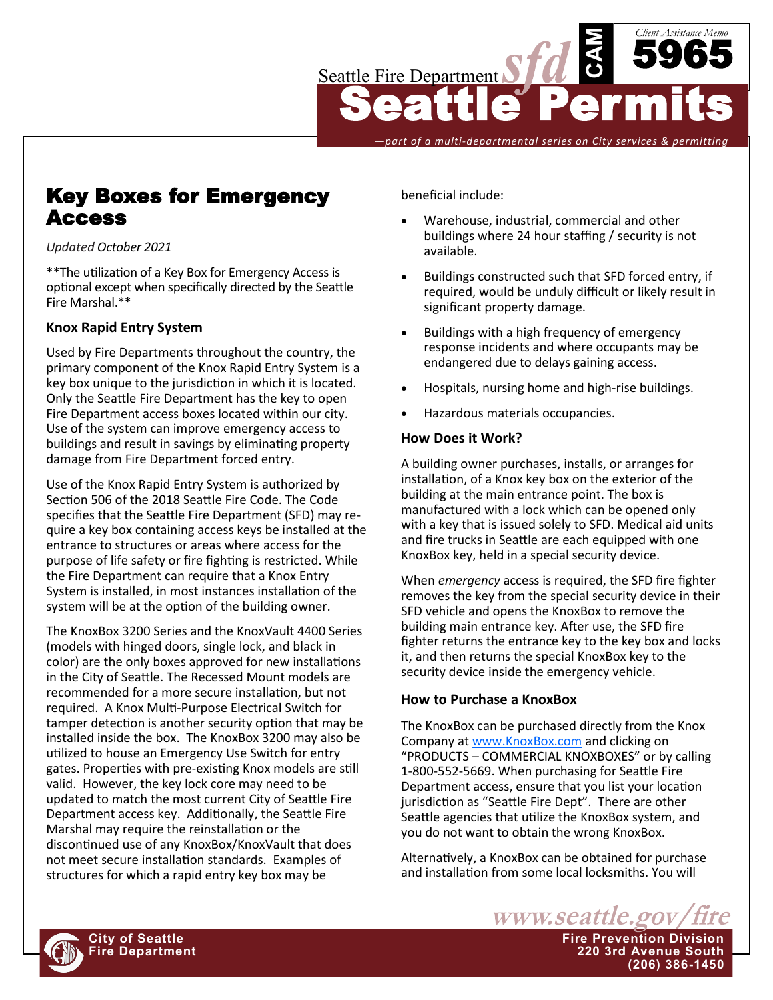

*—part of a multi-departmental series on City services & permitting*

# Key Boxes for Emergency Access

#### *Updated October 2021*

\*\*The utilization of a Key Box for Emergency Access is optional except when specifically directed by the Seattle Fire Marshal.\*\*

## **Knox Rapid Entry System**

Used by Fire Departments throughout the country, the primary component of the Knox Rapid Entry System is a key box unique to the jurisdiction in which it is located. Only the Seattle Fire Department has the key to open Fire Department access boxes located within our city. Use of the system can improve emergency access to buildings and result in savings by eliminating property damage from Fire Department forced entry.

Use of the Knox Rapid Entry System is authorized by Section 506 of the 2018 Seattle Fire Code. The Code specifies that the Seattle Fire Department (SFD) may require a key box containing access keys be installed at the entrance to structures or areas where access for the purpose of life safety or fire fighting is restricted. While the Fire Department can require that a Knox Entry System is installed, in most instances installation of the system will be at the option of the building owner.

The KnoxBox 3200 Series and the KnoxVault 4400 Series (models with hinged doors, single lock, and black in color) are the only boxes approved for new installations in the City of Seattle. The Recessed Mount models are recommended for a more secure installation, but not required. A Knox Multi-Purpose Electrical Switch for tamper detection is another security option that may be installed inside the box. The KnoxBox 3200 may also be utilized to house an Emergency Use Switch for entry gates. Properties with pre-existing Knox models are still valid. However, the key lock core may need to be updated to match the most current City of Seattle Fire Department access key. Additionally, the Seattle Fire Marshal may require the reinstallation or the discontinued use of any KnoxBox/KnoxVault that does not meet secure installation standards. Examples of structures for which a rapid entry key box may be

beneficial include:

- Warehouse, industrial, commercial and other buildings where 24 hour staffing / security is not available.
- Buildings constructed such that SFD forced entry, if required, would be unduly difficult or likely result in significant property damage.
- Buildings with a high frequency of emergency response incidents and where occupants may be endangered due to delays gaining access.
- Hospitals, nursing home and high-rise buildings.
- Hazardous materials occupancies.

#### **How Does it Work?**

A building owner purchases, installs, or arranges for installation, of a Knox key box on the exterior of the building at the main entrance point. The box is manufactured with a lock which can be opened only with a key that is issued solely to SFD. Medical aid units and fire trucks in Seattle are each equipped with one KnoxBox key, held in a special security device.

When *emergency* access is required, the SFD fire fighter removes the key from the special security device in their SFD vehicle and opens the KnoxBox to remove the building main entrance key. After use, the SFD fire fighter returns the entrance key to the key box and locks it, and then returns the special KnoxBox key to the security device inside the emergency vehicle.

## **How to Purchase a KnoxBox**

The KnoxBox can be purchased directly from the Knox Company at [www.KnoxBox.com](http://www.KnoxBox.com) and clicking on "PRODUCTS – COMMERCIAL KNOXBOXES" or by calling 1-800-552-5669. When purchasing for Seattle Fire Department access, ensure that you list your location jurisdiction as "Seattle Fire Dept". There are other Seattle agencies that utilize the KnoxBox system, and you do not want to obtain the wrong KnoxBox.

Alternatively, a KnoxBox can be obtained for purchase and installation from some local locksmiths. You will



**Fire Department 220 3rd Avenue South**

**(206) 386-1450**

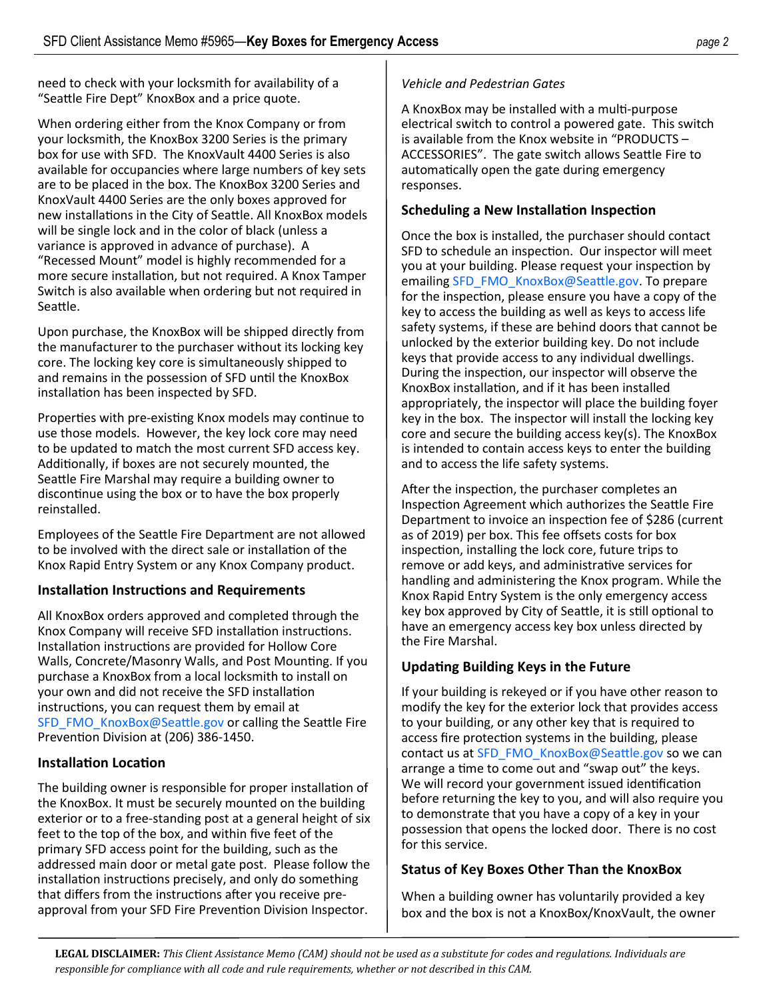need to check with your locksmith for availability of a "Seattle Fire Dept" KnoxBox and a price quote.

When ordering either from the Knox Company or from your locksmith, the KnoxBox 3200 Series is the primary box for use with SFD. The KnoxVault 4400 Series is also available for occupancies where large numbers of key sets are to be placed in the box. The KnoxBox 3200 Series and KnoxVault 4400 Series are the only boxes approved for new installations in the City of Seattle. All KnoxBox models will be single lock and in the color of black (unless a variance is approved in advance of purchase). A "Recessed Mount" model is highly recommended for a more secure installation, but not required. A Knox Tamper Switch is also available when ordering but not required in Seattle.

Upon purchase, the KnoxBox will be shipped directly from the manufacturer to the purchaser without its locking key core. The locking key core is simultaneously shipped to and remains in the possession of SFD until the KnoxBox installation has been inspected by SFD.

Properties with pre-existing Knox models may continue to use those models. However, the key lock core may need to be updated to match the most current SFD access key. Additionally, if boxes are not securely mounted, the Seattle Fire Marshal may require a building owner to discontinue using the box or to have the box properly reinstalled.

Employees of the Seattle Fire Department are not allowed to be involved with the direct sale or installation of the Knox Rapid Entry System or any Knox Company product.

## **Installation Instructions and Requirements**

All KnoxBox orders approved and completed through the Knox Company will receive SFD installation instructions. Installation instructions are provided for Hollow Core Walls, Concrete/Masonry Walls, and Post Mounting. If you purchase a KnoxBox from a local locksmith to install on your own and did not receive the SFD installation instructions, you can request them by email at [SFD\\_FMO\\_KnoxBox@Seattle.gov](mailto:SFD_FMO_KnoxBox@Seattle.gov) or calling the Seattle Fire Prevention Division at (206) 386-1450.

## **Installation Location**

The building owner is responsible for proper installation of the KnoxBox. It must be securely mounted on the building exterior or to a free-standing post at a general height of six feet to the top of the box, and within five feet of the primary SFD access point for the building, such as the addressed main door or metal gate post. Please follow the installation instructions precisely, and only do something that differs from the instructions after you receive preapproval from your SFD Fire Prevention Division Inspector.

# *Vehicle and Pedestrian Gates*

A KnoxBox may be installed with a multi-purpose electrical switch to control a powered gate. This switch is available from the Knox website in "PRODUCTS – ACCESSORIES". The gate switch allows Seattle Fire to automatically open the gate during emergency responses.

## **Scheduling a New Installation Inspection**

Once the box is installed, the purchaser should contact SFD to schedule an inspection. Our inspector will meet you at your building. Please request your inspection by emailing [SFD\\_FMO\\_KnoxBox@Seattle.gov.](mailto:SFD_FMO_KnoxBox@Seattle.gov) To prepare for the inspection, please ensure you have a copy of the key to access the building as well as keys to access life safety systems, if these are behind doors that cannot be unlocked by the exterior building key. Do not include keys that provide access to any individual dwellings. During the inspection, our inspector will observe the KnoxBox installation, and if it has been installed appropriately, the inspector will place the building foyer key in the box. The inspector will install the locking key core and secure the building access key(s). The KnoxBox is intended to contain access keys to enter the building and to access the life safety systems.

After the inspection, the purchaser completes an Inspection Agreement which authorizes the Seattle Fire Department to invoice an inspection fee of \$286 (current as of 2019) per box. This fee offsets costs for box inspection, installing the lock core, future trips to remove or add keys, and administrative services for handling and administering the Knox program. While the Knox Rapid Entry System is the only emergency access key box approved by City of Seattle, it is still optional to have an emergency access key box unless directed by the Fire Marshal.

# **Updating Building Keys in the Future**

If your building is rekeyed or if you have other reason to modify the key for the exterior lock that provides access to your building, or any other key that is required to access fire protection systems in the building, please contact us at [SFD\\_FMO\\_KnoxBox@Seattle.gov](mailto:SFD_FMO_KnoxBox@Seattle.gov) so we can arrange a time to come out and "swap out" the keys. We will record your government issued identification before returning the key to you, and will also require you to demonstrate that you have a copy of a key in your possession that opens the locked door. There is no cost for this service.

# **Status of Key Boxes Other Than the KnoxBox**

When a building owner has voluntarily provided a key box and the box is not a KnoxBox/KnoxVault, the owner

**LEGAL DISCLAIMER:** *This Client Assistance Memo (CAM) should not be used as a substitute for codes and regulations. Individuals are responsible for compliance with all code and rule requirements, whether or not described in this CAM.*